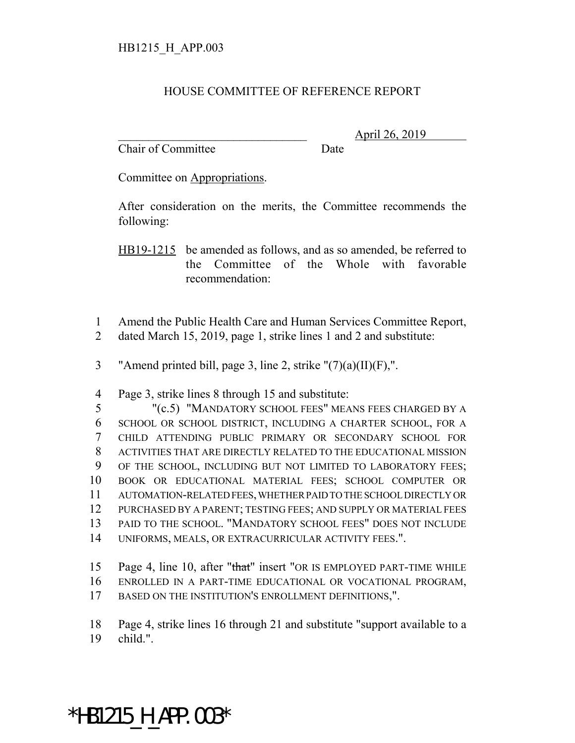## HOUSE COMMITTEE OF REFERENCE REPORT

Chair of Committee Date

\_\_\_\_\_\_\_\_\_\_\_\_\_\_\_\_\_\_\_\_\_\_\_\_\_\_\_\_\_\_\_ April 26, 2019

Committee on Appropriations.

After consideration on the merits, the Committee recommends the following:

HB19-1215 be amended as follows, and as so amended, be referred to the Committee of the Whole with favorable recommendation:

1 Amend the Public Health Care and Human Services Committee Report, 2 dated March 15, 2019, page 1, strike lines 1 and 2 and substitute:

3 "Amend printed bill, page 3, line 2, strike  $"(7)(a)(II)(F)$ ,".

4 Page 3, strike lines 8 through 15 and substitute:

 "(c.5) "MANDATORY SCHOOL FEES" MEANS FEES CHARGED BY A SCHOOL OR SCHOOL DISTRICT, INCLUDING A CHARTER SCHOOL, FOR A CHILD ATTENDING PUBLIC PRIMARY OR SECONDARY SCHOOL FOR ACTIVITIES THAT ARE DIRECTLY RELATED TO THE EDUCATIONAL MISSION 9 OF THE SCHOOL, INCLUDING BUT NOT LIMITED TO LABORATORY FEES; BOOK OR EDUCATIONAL MATERIAL FEES; SCHOOL COMPUTER OR AUTOMATION-RELATED FEES, WHETHER PAID TO THE SCHOOL DIRECTLY OR PURCHASED BY A PARENT; TESTING FEES; AND SUPPLY OR MATERIAL FEES PAID TO THE SCHOOL. "MANDATORY SCHOOL FEES" DOES NOT INCLUDE UNIFORMS, MEALS, OR EXTRACURRICULAR ACTIVITY FEES.".

15 Page 4, line 10, after "that" insert "OR IS EMPLOYED PART-TIME WHILE

16 ENROLLED IN A PART-TIME EDUCATIONAL OR VOCATIONAL PROGRAM,

17 BASED ON THE INSTITUTION'S ENROLLMENT DEFINITIONS,".

18 Page 4, strike lines 16 through 21 and substitute "support available to a

19 child.".

## \*HB1215\_H\_APP.003\*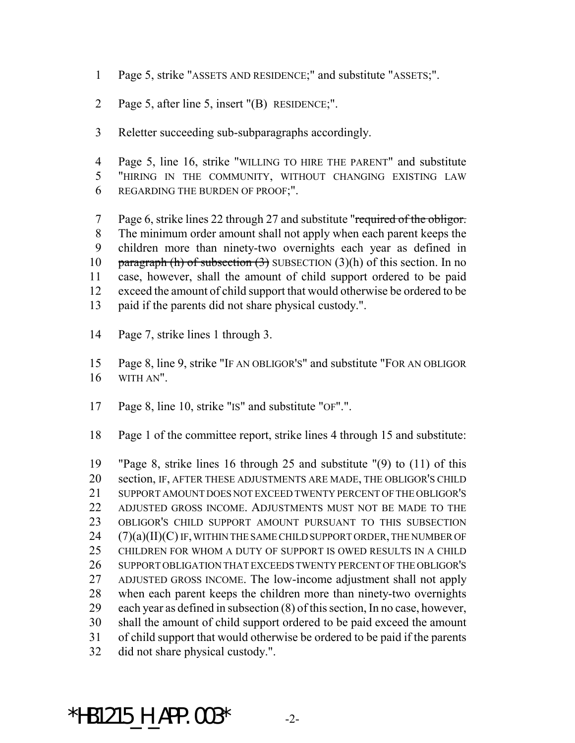- Page 5, strike "ASSETS AND RESIDENCE;" and substitute "ASSETS;".
- Page 5, after line 5, insert "(B) RESIDENCE;".
- Reletter succeeding sub-subparagraphs accordingly.
- Page 5, line 16, strike "WILLING TO HIRE THE PARENT" and substitute "HIRING IN THE COMMUNITY, WITHOUT CHANGING EXISTING LAW REGARDING THE BURDEN OF PROOF;".
- 7 Page 6, strike lines 22 through 27 and substitute "required of the obligor. The minimum order amount shall not apply when each parent keeps the children more than ninety-two overnights each year as defined in 10 paragraph (h) of subsection  $(3)$  SUBSECTION  $(3)(h)$  of this section. In no case, however, shall the amount of child support ordered to be paid exceed the amount of child support that would otherwise be ordered to be paid if the parents did not share physical custody.".
- Page 7, strike lines 1 through 3.
- Page 8, line 9, strike "IF AN OBLIGOR'S" and substitute "FOR AN OBLIGOR WITH AN".
- Page 8, line 10, strike "IS" and substitute "OF".".
- Page 1 of the committee report, strike lines 4 through 15 and substitute:

 "Page 8, strike lines 16 through 25 and substitute "(9) to (11) of this section, IF, AFTER THESE ADJUSTMENTS ARE MADE, THE OBLIGOR'S CHILD SUPPORT AMOUNT DOES NOT EXCEED TWENTY PERCENT OF THE OBLIGOR'S ADJUSTED GROSS INCOME. ADJUSTMENTS MUST NOT BE MADE TO THE OBLIGOR'S CHILD SUPPORT AMOUNT PURSUANT TO THIS SUBSECTION (7)(a)(II)(C) IF, WITHIN THE SAME CHILD SUPPORT ORDER, THE NUMBER OF CHILDREN FOR WHOM A DUTY OF SUPPORT IS OWED RESULTS IN A CHILD SUPPORT OBLIGATION THAT EXCEEDS TWENTY PERCENT OF THE OBLIGOR'S ADJUSTED GROSS INCOME. The low-income adjustment shall not apply when each parent keeps the children more than ninety-two overnights each year as defined in subsection (8) of this section, In no case, however, shall the amount of child support ordered to be paid exceed the amount of child support that would otherwise be ordered to be paid if the parents did not share physical custody.".

\*HB1215 H APP.003\*  $-2$ -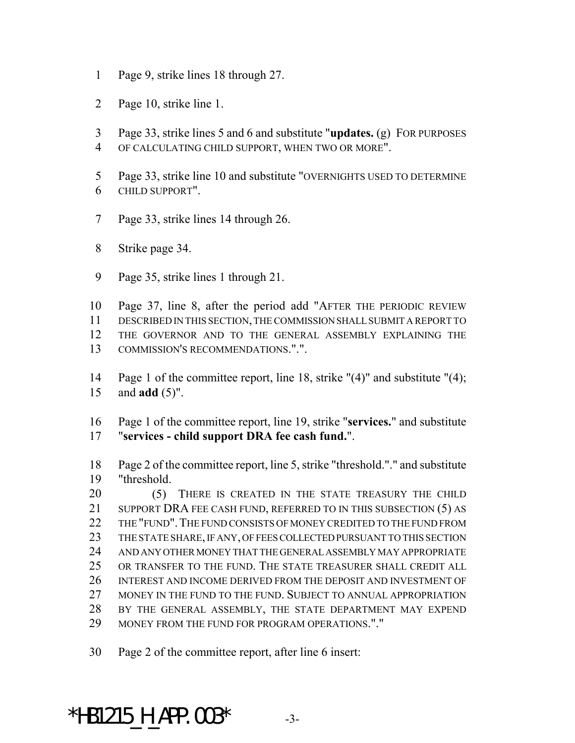- Page 9, strike lines 18 through 27.
- Page 10, strike line 1.
- Page 33, strike lines 5 and 6 and substitute "**updates.** (g) FOR PURPOSES
- OF CALCULATING CHILD SUPPORT, WHEN TWO OR MORE".
- Page 33, strike line 10 and substitute "OVERNIGHTS USED TO DETERMINE CHILD SUPPORT".
- Page 33, strike lines 14 through 26.
- Strike page 34.
- Page 35, strike lines 1 through 21.
- Page 37, line 8, after the period add "AFTER THE PERIODIC REVIEW DESCRIBED IN THIS SECTION, THE COMMISSION SHALL SUBMIT A REPORT TO THE GOVERNOR AND TO THE GENERAL ASSEMBLY EXPLAINING THE
- COMMISSION'S RECOMMENDATIONS.".".
- Page 1 of the committee report, line 18, strike "(4)" and substitute "(4); and **add** (5)".
- Page 1 of the committee report, line 19, strike "**services.**" and substitute "**services - child support DRA fee cash fund.**".
- Page 2 of the committee report, line 5, strike "threshold."." and substitute "threshold.
- 20 (5) THERE IS CREATED IN THE STATE TREASURY THE CHILD 21 SUPPORT DRA FEE CASH FUND, REFERRED TO IN THIS SUBSECTION (5) AS 22 THE "FUND". THE FUND CONSISTS OF MONEY CREDITED TO THE FUND FROM THE STATE SHARE, IF ANY, OF FEES COLLECTED PURSUANT TO THIS SECTION AND ANY OTHER MONEY THAT THE GENERAL ASSEMBLY MAY APPROPRIATE OR TRANSFER TO THE FUND. THE STATE TREASURER SHALL CREDIT ALL INTEREST AND INCOME DERIVED FROM THE DEPOSIT AND INVESTMENT OF 27 MONEY IN THE FUND TO THE FUND. SUBJECT TO ANNUAL APPROPRIATION BY THE GENERAL ASSEMBLY, THE STATE DEPARTMENT MAY EXPEND MONEY FROM THE FUND FOR PROGRAM OPERATIONS."."
- Page 2 of the committee report, after line 6 insert:

\*HB1215 H APP.003\*  $-3$ -